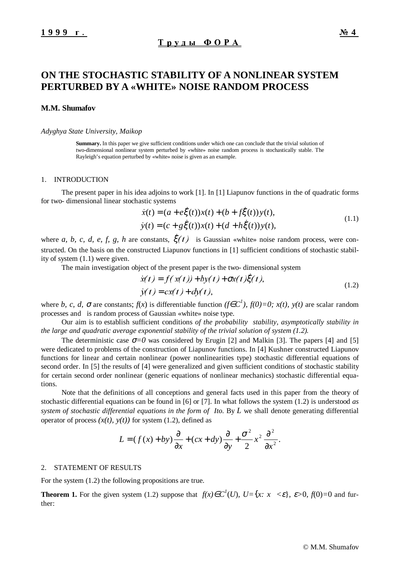# **ON THE STOCHASTIC STABILITY OF A NONLINEAR SYSTEM PERTURBED BY A «WHITE» NOISE RANDOM PROCESS**

### **M.M. Shumafov**

### *Adyghya State University, Maikop*

**Summary.** In this paper we give sufficient conditions under which one can conclude that the trivial solution of two-dimensional nonlinear system perturbed by «white» noise random process is stochastically stable. The Rayleigh's equation perturbed by «white» noise is given as an example.

#### 1. INTRODUCTION

The present paper in his idea adjoins to work [1]. In [1] Liapunov functions in the of quadratic forms for two- dimensional linear stochastic systems example 3.<br>
Example 3.<br>
Example 3.<br>
Example 3.<br>
Example 3.<br>
Example 3.<br>
Example 3.<br>
Example 4.<br>
Example 4.<br>
Example 4.<br>
Example 4.<br>
Example 4.<br>
Example 4.<br>
Example 4.<br>
Example 4.<br>
Example 4.<br>
Example 4.<br>
Example 4.<br>
Examp

1. INTRODUCTION  
\nThe present paper in his idea adjoins to work [1]. In [1] Liapunov functions in the of quadratic forms  
\nfor two-dimensional linear stochastic systems  
\n
$$
\begin{cases}\n\dot{x}(t) = (a + e\xi(t))x(t) + (b + f\xi(t))y(t), \\
y(t) = (c + g\xi(t))x(t) + (d + h\xi(t))y(t),\n\end{cases}
$$
\n(1.1)  
\nwhere *a*, *b*, *c*, *d*, *e*, *f*, *g*, *h* are constants,  $\xi(t)$  is Gaussian *\\* white*»* noise random process, were con-

structed. On the basis on the constructed Liapunov functions in [1] sufficient conditions of stochastic stability of system (1.1) were given. constants,  $\xi(t)$  is Gaussian «whitt<br>tructed Liapunov functions in [1] suffer extends the two-direct of the present paper is the two-direct  $\dot{x}(t) = f(x(t)) + by(t) + \sigma x(t)^2$ 

The main investigation object of the present paper is the two- dimensional system

$$
\begin{cases}\n\dot{x}(t) = f(x(t)) + by(t) + \sigma x(t)\dot{\xi}(t), \\
\dot{y}(t) = cx(t) + dy(t),\n\end{cases}
$$
\n(1.2)

where *b*, *c*, *d*,  $\sigma$  are constants;  $f(x)$  is differentiable function  $(f \in C^1)$ ,  $f(0)=0$ ;  $x(t)$ ,  $y(t)$  are scalar random processes and is random process of Gaussian «white» noise type.

Our aim is to establish sufficient conditions *of the probability stability, asymptotically stability in the large and quadratic average exponential stability of the trivial solution of system (1.2).*

The deterministic case  $\sigma = 0$  was considered by Erugin [2] and Malkin [3]. The papers [4] and [5] were dedicated to problems of the construction of Liapunov functions. In [4] Kushner constructed Liapunov functions for linear and certain nonlinear (power nonlinearities type) stochastic differential equations of second order. In [5] the results of [4] were generalized and given sufficient conditions of stochastic stability for certain second order nonlinear (generic equations of nonlinear mechanics) stochastic differential equations.

Note that the definitions of all conceptions and general facts used in this paper from the theory of stochastic differential equations can be found in [6] or [7]. In what follows the system (1.2) is understood *as system of stochastic differential equations in the form of Ito*. By *L* we shall denote generating differential operator of process  $(x(t), y(t))$  for system (1.2), defined as

$$
L = (f(x) + by)\frac{\partial}{\partial x} + (cx + dy)\frac{\partial}{\partial y} + \frac{\sigma^2}{2}x^2\frac{\partial^2}{\partial x^2}.
$$

### 2. STATEMENT OF RESULTS

For the system (1.2) the following propositions are true.

**Theorem 1.** For the given system (1.2) suppose that  $f(x) \in C^1(U)$ ,  $U = \{x : |x| < \varepsilon\}$ ,  $\varepsilon > 0$ ,  $f(0) = 0$  and further: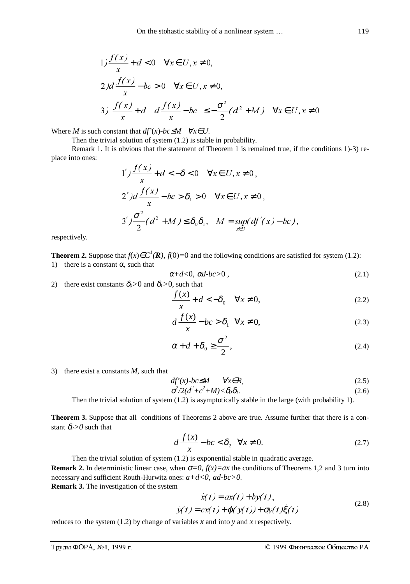$$
1) \frac{f(x)}{x} + d < 0 \quad \forall x \in U, x \neq 0,
$$
  
\n
$$
2) d \frac{f(x)}{x} - bc > 0 \quad \forall x \in U, x \neq 0,
$$
  
\n
$$
3 \left( \frac{f(x)}{x} + d \right) \left( d \frac{f(x)}{x} - bc \right) \le -\frac{\sigma^2}{2} (d^2 + M) \quad \forall x \in U, x \neq 0
$$

Where *M* is such constant that  $df'(x)$ *-bc*≤*M*  $\forall x \in U$ .

Then the trivial solution of system (1.2) is stable in probability.

Remark 1. It is obvious that the statement of Theorem 1 is remained true, if the conditions 1)-3) replace into ones:

1') 
$$
\frac{f(x)}{x}
$$
 + d < -\delta < 0  $\forall x \in U, x \neq 0$ ,  
\n2')d  $\frac{f(x)}{x}$  - bc >  $\delta_1$  > 0  $\forall x \in U, x \neq 0$ ,  
\n3') $\frac{\sigma^2}{2}$ (d<sup>2</sup> + M)  $\leq \delta_0 \delta_1$ ,  $M = \sup_{x \in U} (df'(x) - bc)$ ,

respectively.

**Theorem 2.** Suppose that  $f(x) \in C^1(\mathbb{R})$ ,  $f(0)=0$  and the following conditions are satisfied for system (1.2): 1) there is a constant  $\alpha$ , such that

$$
\alpha + d < 0, \ \alpha d - bc > 0 \tag{2.1}
$$

2) there exist constants  $\delta_0 > 0$  and  $\delta_1 > 0$ , such that

$$
\frac{f(x)}{x} + d < -\delta_0 \quad \forall x \neq 0,\tag{2.2}
$$

$$
d\frac{f(x)}{x} - bc > \delta_1 \quad \forall x \neq 0,
$$
\n(2.3)

$$
\alpha + d + \delta_0 \ge \frac{\sigma^2}{2},\tag{2.4}
$$

3) there exist a constants *M*, such that

$$
df'(x) \cdot bc \le M \qquad \forall x \in R,\tag{2.5}
$$

$$
\sigma^2/2(d^2+c^2+M)<\delta_0\delta_l.\tag{2.6}
$$

Then the trivial solution of system (1.2) is asymptotically stable in the large (with probability 1).

**Theorem 3.** Suppose that all conditions of Theorems 2 above are true. Assume further that there is a constant  $\delta_2$ >0 such that

$$
d\frac{f(x)}{x} - bc < \delta_2 \quad \forall x \neq 0. \tag{2.7}
$$

Then the trivial solution of system (1.2) is exponential stable in quadratic average. **Remark 2.** In deterministic linear case, when  $\sigma=0$ ,  $f(x)=ax$  the conditions of Theorems 1,2 and 3 turn into necessary and sufficient Routh-Hurwitz ones: *a+d<0, ad-bc>0*. (1.2) is exponential stable in quadratic<br>
en  $\sigma=0$ ,  $f(x)=ax$  the conditions of T<br>
s:  $a+d<0$ ,  $ad-bc>0$ .<br>  $\dot{x}(t) = ax(t) + by(t)$ ,<br>  $\dot{y}(t) = cx(t) + g(y(t)) + gy(t)^{3}$ 

**Remark 3.** The investigation of the system

$$
\begin{cases}\n\dot{x}(t) = ax(t) + by(t), \\
\dot{y}(t) = cx(t) + \varphi(y(t)) + \sigma y(t)\dot{\xi}(t)\n\end{cases}
$$
\n(2.8)

reduces to the system (1.2) by change of variables *x* and into *y* and *x* respectively.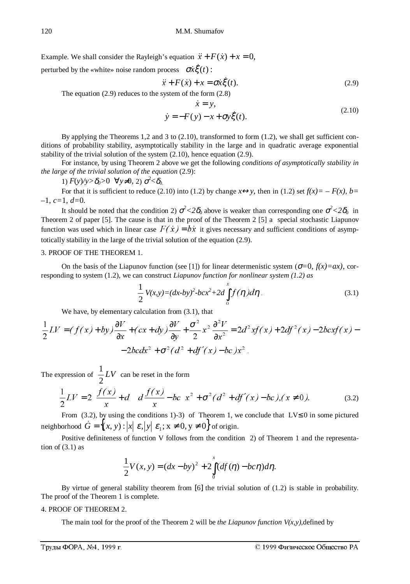120 M.M. Shumafov<br>Example. We shall consider the Rayleigh's equation  $\ddot{x} + F(\dot{x}) + x = 0$ ,

perturbed by the «white» noise random process  $\sigma x \xi(t)$ :

M.M. Shumafov  
\n's equation 
$$
\ddot{x} + F(\dot{x}) + x = 0
$$
,  
\nrocess  $\sigma \dot{x} \xi(t)$ :  
\n $\ddot{x} + F(\dot{x}) + x = \sigma \dot{x} \xi(t)$ . (2.9)

The equation (2.9) reduces to the system of the form (2.8)

process 
$$
\sigma x\xi(t)
$$
:  
\n
$$
\ddot{x} + F(x) + x = \sigma x\xi(t).
$$
\n(2.9)  
\nsystem of the form (2.8)  
\n
$$
\begin{cases}\n\dot{x} = y, \\
\dot{y} = -F(y) - x + \sigma y\xi(t). \n\end{cases}
$$
\n(2.10)

By applying the Theorems 1,2 and 3 to  $(2.10)$ , transformed to form  $(1.2)$ , we shall get sufficient conditions of probability stability, asymptotically stability in the large and in quadratic average exponential stability of the trivial solution of the system (2.10), hence equation (2.9).

For instance, by using Theorem 2 above we get the following *conditions of asymptotically stability in the large of the trivial solution of the equation* (2.9):

1) 
$$
F(y)/y > \delta_0 > 0 \quad \forall y \neq 0, \ 2) \ \sigma^2 < \delta_0
$$

For that it is sufficient to reduce (2.10) into (1.2) by change  $x \leftrightarrow y$ , then in (1.2) set  $f(x) = -F(x)$ ,  $b=$ –1*, c=*1*, d=*0*.*

It should be noted that the condition 2)  $\sigma^2 < 2\delta_0$  above is weaker than corresponding one  $\sigma^2 < 2\delta_0$  in Theorem 2 of paper [5]. The cause is that in the proof of the Theorem 2 [5] a special stochastic Liapunov 1)  $F(y)/y > \delta_0 > 0$   $\forall y \neq 0, 2$  o  $\sigma' < \delta_0$ .<br>For that it is sufficient to reduce (2.10) into (1.2) by change  $x \leftrightarrow y$ , then in (1.2) set  $f(x) = -F(x)$ ,  $b = -1$ ,  $c = 1$ ,  $d = 0$ .<br>It should be noted that the condition 2)  $\sigma^2 < 2$ totically stability in the large of the trivial solution of the equation (2.9).

## 3. PROOF OF THE THEOREM 1.

On the basis of the Liapunov function (see [1]) for linear determenistic system ( $\sigma=0$ ,  $f(x)=ax$ ), corresponding to system (1.2), we can construct *Liapunov function for nonlinear system (1.2) as*

$$
\frac{1}{2}V(x,y)=(dx-by)^2-bcx^2+2d\int_{0}^{x}f(\eta)d\eta
$$
\n(3.1)

We have, by elementary calculation from (3.1), that

$$
\frac{1}{2}LV = (f(x)+by)\frac{\partial V}{\partial x} + (cx+dy)\frac{\partial V}{\partial y} + \frac{\sigma^2}{2}x^2\frac{\partial^2 V}{\partial x^2} = 2d^2xf(x) + 2df^2(x) - 2bcxf(x) - 2bcdx^2 + \sigma^2(d^2 + df'(x) - bc)x^2.
$$

The expression of  $\frac{1}{2}LV$ 2  $\frac{1}{2}LV$  can be reset in the form

$$
\frac{1}{2}LV = 2\left(\frac{f(x)}{x} + d\right)\left(d\frac{f(x)}{x} - bc\right)x^{2} + \sigma^{2}(d^{2} + df'(x) - bc), (x \neq 0).
$$
\n(3.2)

From (3.2), by using the conditions 1)-3) of Theorem 1, we conclude that LV≤ 0 in some pictured neighborhood  $\dot{G} = \{(x, y) : |x| \langle \varepsilon, |y| \rangle \varepsilon_1; x \neq 0, y \neq 0\}$  of origin.

Positive definiteness of function V follows from the condition 2) of Theorem 1 and the representation of  $(3.1)$  as

$$
\frac{1}{2}V(x,y) = (dx - by)^2 + 2\int_0^x (df(\eta) - bc\eta)d\eta.
$$

By virtue of general stability theorem from [6] the trivial solution of (1.2) is stable in probability. The proof of the Theorem 1 is complete.

#### 4. PROOF OF THEOREM 2.

The main tool for the proof of the Theorem 2 will be *the Liapunov function V(x,y),*defined by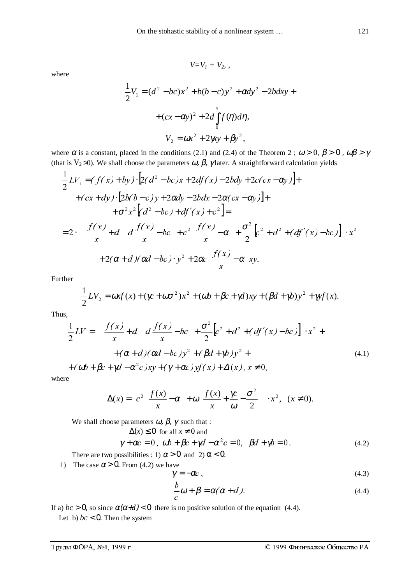$V=V_1 + V_2$ ,

where

$$
\frac{1}{2}V_1 = (d^2 - bc)x^2 + b(b - c)y^2 + \alpha dy^2 - 2bdxy +
$$

$$
+ (cx - \alpha y)^2 + 2d \int_0^x f(\eta) d\eta,
$$

$$
V_2 = \omega x^2 + 2\gamma xy + \beta y^2,
$$

where  $\alpha$  is a constant, placed in the conditions (2.1) and (2.4) of the Theorem 2;  $\omega > 0$ ,  $\beta > 0$ ,  $\omega\beta > \gamma$ (that is V<sub>2</sub> >0). We shall choose the parameters  $\omega$ ,  $\beta$ ,  $\gamma$  later. A straightforward calculation yields

$$
\frac{1}{2}LV_{1} = (f(x)+by)\cdot[2(d^{2}-bc)x+2df(x)-2bdy+2c(cx-\alpha y)]+ \n+ (cx+dy)\cdot[2b(b-c)y+2\alpha dy-2bdx-2\alpha(cx-\alpha y)]+ \n+ \sigma^{2}x^{2}[(d^{2}-bc)+df'(x)+c^{2}]= \n= 2\cdot\left\{\left(\frac{f(x)}{x}+d\right)\left(d\frac{f(x)}{x}-bc\right)+c^{2}\left(\frac{f(x)}{x}-\alpha\right)+\frac{\sigma^{2}}{2}[c^{2}+d^{2}+(df'(x)-bc)]\right\}\cdot x^{2} + 2(\alpha+d)(\alpha d-bc)\cdot y^{2}+2\alpha c\left(\frac{f(x)}{x}-\alpha\right)xy.
$$

Further

$$
\frac{1}{2}LV_2 = \omega x f(x) + (\gamma c + \omega \sigma^2) x^2 + (\omega b + \beta c + \gamma d) xy + (\beta d + \gamma b) y^2 + \gamma y f(x).
$$

Thus,

$$
\frac{1}{2}LV = \left\{ \left( \frac{f(x)}{x} + d \right) \left( d \frac{f(x)}{x} - bc \right) + \frac{\sigma^2}{2} \left[ c^2 + d^2 + (df'(x) - bc) \right] \right\} \cdot x^2 + \\ + (\alpha + d)(\alpha d - bc)y^2 + (\beta d + \gamma b)y^2 + \\ + (\omega b + \beta c + \gamma d - \alpha^2 c)xy + (\gamma + \alpha c)yf(x) + \Delta(x), x \neq 0,
$$
\n(4.1)

where

$$
\Delta(x) = \left[ c^2 \left( \frac{f(x)}{x} - \alpha \right) + \omega \left( \frac{f(x)}{x} + \frac{\gamma c}{\omega} - \frac{\sigma^2}{2} \right) \right] \cdot x^2, \quad (x \neq 0).
$$

We shall choose parameters  $\omega$ ,  $\beta$ ,  $\gamma$  such that :

$$
\Delta(x) \le 0 \text{ for all } x \ne 0 \text{ and}
$$
  

$$
\gamma + \alpha c = 0, \ \omega b + \beta c + \gamma d - \alpha^2 c = 0, \ \beta d + \gamma b = 0.
$$
 (4.2)

There are two possibilities : 1)  $\alpha > 0$  and 2)  $\alpha < 0$ .

1) The case  $\alpha > 0$ . From (4.2) we have

$$
\gamma = -\alpha c \,,\tag{4.3}
$$

$$
\frac{b}{c}\omega + \beta = \alpha(\alpha + d). \tag{4.4}
$$

If a)  $bc > 0$ , so since  $\alpha(\alpha+d) < 0$  there is no positive solution of the equation (4.4).

Let b)  $bc < 0$ . Then the system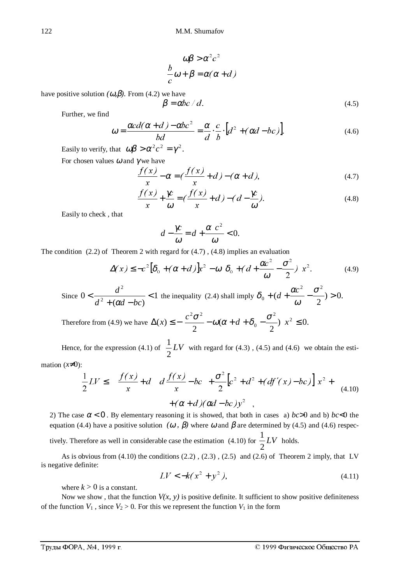$$
\begin{cases}\n\omega\beta > \alpha^2 c^2 \\
\frac{b}{c}\omega + \beta = \alpha(\alpha + d)\n\end{cases}
$$

have positive solution  $(\omega, \beta)$ . From (4.2) we have

$$
\beta = \alpha b c / d. \tag{4.5}
$$

Further, we find

$$
\omega = \frac{\alpha c d(\alpha + d) - \alpha b c^2}{bd} = \frac{\alpha}{d} \cdot \frac{c}{b} \cdot [d^2 + (\alpha d - bc)].
$$
\n(4.6)

Easily to verify, that  $\omega \beta > \alpha^2 c^2 = \gamma^2$ .

For chosen values 
$$
\omega
$$
 and  $\gamma$  we have

$$
\frac{f(x)}{x} - \alpha = \left(\frac{f(x)}{x} + d\right) - (\alpha + d),\tag{4.7}
$$

$$
\frac{f(x)}{x} + \frac{\gamma c}{\omega} = \left(\frac{f(x)}{x} + d\right) - \left(d - \frac{\gamma c}{\omega}\right).
$$
\n(4.8)

Easily to check , that

$$
d - \frac{\gamma c}{\omega} = d + \frac{\alpha c^2}{\omega} < 0.
$$

The condition (2.2) of Theorem 2 with regard for (4.7) , (4.8) implies an evaluation

$$
\Delta(x) \le -c^2 \left[\delta_0 + (\alpha + d)\right] x^2 - \omega \left[\delta_0 + (d + \frac{\alpha c^2}{\omega} - \frac{\sigma^2}{2})\right] x^2.
$$
 (4.9)

Since 
$$
0 < \frac{d^2}{d^2 + (\alpha d - bc)} < 1
$$
 the inequality (2.4) shall imply  $\delta_0 + (d + \frac{\alpha c^2}{\omega} - \frac{\sigma^2}{2}) > 0$ .

Therefore from (4.9) we have 
$$
\Delta(x) \le -\left[\frac{c^2 \sigma^2}{2} - \omega(\alpha + d + \delta_0 - \frac{\sigma^2}{2})\right] x^2 \le 0.
$$

Hence, for the expression (4.1) of  $\frac{1}{2}LV$ 2  $\frac{1}{\epsilon}LV$  with regard for (4.3), (4.5) and (4.6) we obtain the esti-

mation  $(x\neq 0)$ :

$$
\frac{1}{2}LV \le \left\{ \left( \frac{f(x)}{x} + d \right) \left( d \frac{f(x)}{x} - bc \right) + \frac{\sigma^2}{2} \left[ c^2 + d^2 + (df'(x) - bc) \right] \right\} x^2 + (d+1) (\alpha d - bc) y^2 ,
$$
\n(4.10)

2) The case  $\alpha < 0$ . By elementary reasoning it is showed, that both in cases a) *bc*>0 and b) *bc*<0 the equation (4.4) have a positive solution  $(\omega, \beta)$  where  $\omega$  and  $\beta$  are determined by (4.5) and (4.6) respec-

tively. Therefore as well in considerable case the estimation (4.10) for  $\frac{1}{2}LV$ 2  $\frac{1}{2}LV$  holds.

As is obvious from (4.10) the conditions (2.2) , (2.3) , (2.5) and (2.6) of Theorem 2 imply, that LV is negative definite:

$$
LV < -k(x^2 + y^2),\tag{4.11}
$$

where  $k > 0$  is a constant.

Now we show, that the function  $V(x, y)$  is positive definite. It sufficient to show positive definiteness of the function  $V_1$ , since  $V_2 > 0$ . For this we represent the function  $V_1$  in the form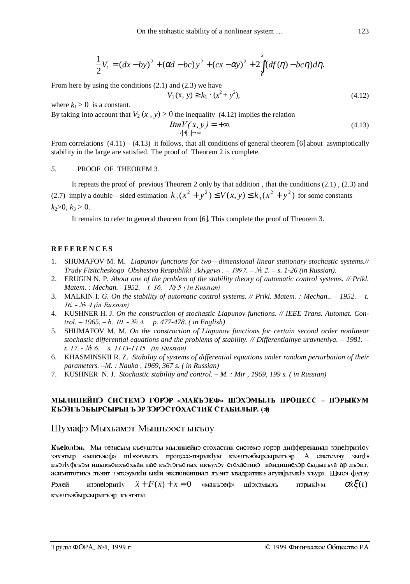$$
\frac{1}{2}V_1 = (dx - by)^2 + (\alpha d - bc)y^2 + (cx - \alpha y)^2 + 2 \int_0^x (df(\eta) - bc\eta) d\eta.
$$

From here by using the conditions (2.1) and (2.3) we have

$$
V_1(x, y) \ge k_1 \cdot (x^2 + y^2),\tag{4.12}
$$

where  $k_1 > 0$  is a constant.

By taking into account that  $V_2(x, y) > 0$  the inequality (4.12) implies the relation

$$
\lim_{\substack{|x|+|y|\to\infty}} V(x,y) = +\infty. \tag{4.13}
$$

From correlations  $(4.11) - (4.13)$  it follows, that all conditions of general theorem [6] about asymptotically stability in the large are satisfied. The proof of Theorem 2 is complete.

## *5.* PROOF OF THEOREM 3*.*

It repeats the proof of previous Theorem 2 only by that addition , that the conditions (2.1) , (2.3) and (2.7) imply a double – sided estimation  $k_2(x^2 + y^2) \le V(x, y) \le k_3(x^2 + y^2)$  $k_2(x^2 + y^2) \le V(x, y) \le k_3(x^2 + y^2)$  for some constants  $k_2>0, k_3>0.$ 

It remains to refer to general theorem from [6]. This complete the proof of Theorem 3.

## **REFERENCES**

- 1. SHUMAFOV M. M. *Liapunov functions for two—dimensional linear stationary stochastic systems.// Trudy Fizitcheskogo Obshestva Respubliki*  $\text{Ady}$ *geya*  $-1997 - \text{Ne } 2 - s$ *. 1-26 (in Russian).*
- 2. ERUGIN N. P. *About one of the problem of the stability theory of automatic control systems. // Prikl. Matem.: Mechan.* –1952. – t. 16. - Nº 5 (in Russian)
- 3. MALKIN I. *G. On the stability of automatic control systems. // Prikl. Matem. : Mechan.. 1952. t.* 16.  $N<sub>2</sub>$  4 (in Russian)
- 4. KUSHNER H. J. *On the construction of stochastic Liapunov functions. // IEEE Trans. Automat. Control.*  $-1965$ .  $- b$ .  $10 - N_2 4 - p$ . 477-478. (*in English*)
- 5. SHUMAFOV M. M*. On the construction of Liapunov functions for certain second order nonlinear stochastic differential equations and the problems of stability. // Differentialnye uravneniya. – 1981. –* t. 17.  $N_2$  6.  $-S.$  1143-1145 (in Russian)
- 6. KHASMINSKII R. Z. *Stability of systems of differential equations under random perturbation of their parameters. –M. : Nauka , 1969, 367 s. ( in Russian)*
- 7. KUSHNER N. J. *Stochastic stability and control. M. : Mir , 1969, 199 s. ( in Russian)*

## **МЫЛИНЕЙНЭ СИСТЕМЭ ГОРЭР «МАКЪЭЕФ» ШЭХЭМЫЛЬ ПРОЦЕСС – ПЭРЫКУМ** КЪЭЗГЪЭБЫРСЫРЫГЪЭР ЗЭРЭСТОХАСТИК СТАБИЛЫР. (\*)

## Шумафэ Мыхьамэт Мышъэост ыкъоу

**Къеюльн.** Мы тезисым къеушэты мылинейнэ стохастик системэ горэр дифференциал зэпе!эритю 33хэтыр «макъэеф» ш1эхэмылъ процесс-пэрыкlyм къэзгъэбырсырыгъэр. А системэу зыц1э къэтlуфгъэм ицыкъоихъохьан пае къэтэгъотых икъухэу стохастикэ кондициехэр сыдыгъуа ар лъэит, асимптотикэ лъэит зэпсэумкlи ыкlи экспоненциал лъэит квадратикэ агуифымкlэ хъура. Щысэ фэдэу  $\bf K$ **ьеголіэн.** Мы тезисым къеушэты мылинейнэ стохастик системэ горэр дифференциал зэпеіэритіоу жылатыр «макъэеф» шіэхэмыль процесс-пэрыкіум къэзгъэбырсырыгъэр. А системэу зыціз<br>изэтуфгъэм ицыкъоихъохьан пае къэтэгъотых

къэзгъэбырсырыгъэр къэтэты.